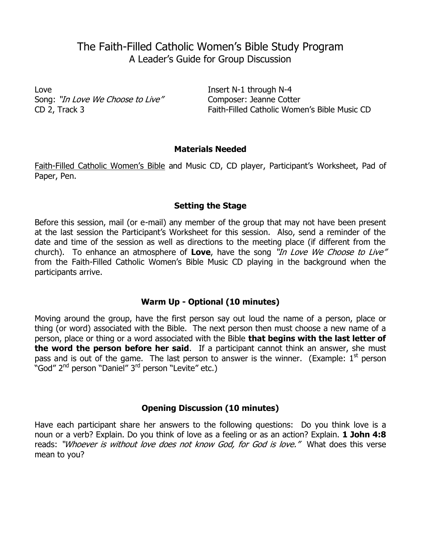# The Faith-Filled Catholic Women's Bible Study Program A Leader's Guide for Group Discussion

Love **Insert N-1 through N-4** Song: "In Love We Choose to Live" Composer: Jeanne Cotter

CD 2, Track 3 Faith-Filled Catholic Women's Bible Music CD

## **Materials Needed**

Faith-Filled Catholic Women's Bible and Music CD, CD player, Participant's Worksheet, Pad of Paper, Pen.

## **Setting the Stage**

Before this session, mail (or e-mail) any member of the group that may not have been present at the last session the Participant's Worksheet for this session. Also, send a reminder of the date and time of the session as well as directions to the meeting place (if different from the church). To enhance an atmosphere of **Love**, have the song "In Love We Choose to Live" from the Faith-Filled Catholic Women's Bible Music CD playing in the background when the participants arrive.

# **Warm Up - Optional (10 minutes)**

Moving around the group, have the first person say out loud the name of a person, place or thing (or word) associated with the Bible. The next person then must choose a new name of a person, place or thing or a word associated with the Bible **that begins with the last letter of the word the person before her said**. If a participant cannot think an answer, she must pass and is out of the game. The last person to answer is the winner. (Example:  $1<sup>st</sup>$  person pass and is sat of the game. The last person to pass and is sat of the game.

# **Opening Discussion (10 minutes)**

Have each participant share her answers to the following questions: Do you think love is a noun or a verb? Explain. Do you think of love as a feeling or as an action? Explain. **1 John 4:8** reads: "Whoever is without love does not know God, for God is love." What does this verse mean to you?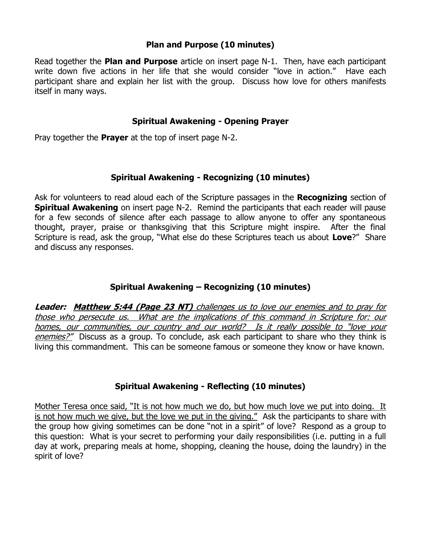## **Plan and Purpose (10 minutes)**

Read together the **Plan and Purpose** article on insert page N-1. Then, have each participant write down five actions in her life that she would consider "love in action." Have each participant share and explain her list with the group. Discuss how love for others manifests itself in many ways.

#### **Spiritual Awakening - Opening Prayer**

Pray together the **Prayer** at the top of insert page N-2.

## **Spiritual Awakening - Recognizing (10 minutes)**

Ask for volunteers to read aloud each of the Scripture passages in the **Recognizing** section of **Spiritual Awakening** on insert page N-2. Remind the participants that each reader will pause for a few seconds of silence after each passage to allow anyone to offer any spontaneous thought, prayer, praise or thanksgiving that this Scripture might inspire. After the final Scripture is read, ask the group, "What else do these Scriptures teach us about **Love**?" Share and discuss any responses.

## **Spiritual Awakening – Recognizing (10 minutes)**

**Leader: Matthew 5:44 (Page 23 NT)** challenges us to love our enemies and to pray for those who persecute us. What are the implications of this command in Scripture for: our homes, our communities, our country and our world? Is it really possible to "love your enemies?" Discuss as a group. To conclude, ask each participant to share who they think is living this commandment. This can be someone famous or someone they know or have known.

## **Spiritual Awakening - Reflecting (10 minutes)**

Mother Teresa once said, "It is not how much we do, but how much love we put into doing. It is not how much we give, but the love we put in the giving." Ask the participants to share with the group how giving sometimes can be done "not in a spirit" of love? Respond as a group to this question: What is your secret to performing your daily responsibilities (i.e. putting in a full day at work, preparing meals at home, shopping, cleaning the house, doing the laundry) in the spirit of love?